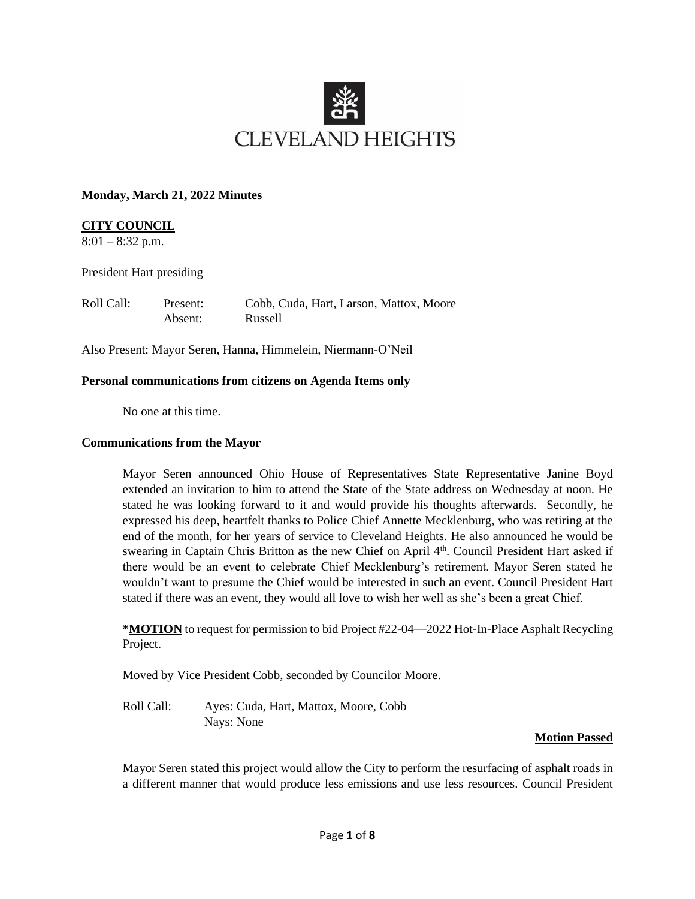

#### **Monday, March 21, 2022 Minutes**

### **CITY COUNCIL**

 $8:01 - 8:32$  p.m.

President Hart presiding

| Roll Call: | Present: | Cobb, Cuda, Hart, Larson, Mattox, Moore |
|------------|----------|-----------------------------------------|
|            | Absent:  | Russell                                 |

Also Present: Mayor Seren, Hanna, Himmelein, Niermann-O'Neil

#### **Personal communications from citizens on Agenda Items only**

No one at this time.

#### **Communications from the Mayor**

Mayor Seren announced Ohio House of Representatives State Representative Janine Boyd extended an invitation to him to attend the State of the State address on Wednesday at noon. He stated he was looking forward to it and would provide his thoughts afterwards. Secondly, he expressed his deep, heartfelt thanks to Police Chief Annette Mecklenburg, who was retiring at the end of the month, for her years of service to Cleveland Heights. He also announced he would be swearing in Captain Chris Britton as the new Chief on April 4<sup>th</sup>. Council President Hart asked if there would be an event to celebrate Chief Mecklenburg's retirement. Mayor Seren stated he wouldn't want to presume the Chief would be interested in such an event. Council President Hart stated if there was an event, they would all love to wish her well as she's been a great Chief.

**\*MOTION** to request for permission to bid Project #22-04—2022 Hot-In-Place Asphalt Recycling Project.

Moved by Vice President Cobb, seconded by Councilor Moore.

Roll Call: Ayes: Cuda, Hart, Mattox, Moore, Cobb Nays: None

### **Motion Passed**

Mayor Seren stated this project would allow the City to perform the resurfacing of asphalt roads in a different manner that would produce less emissions and use less resources. Council President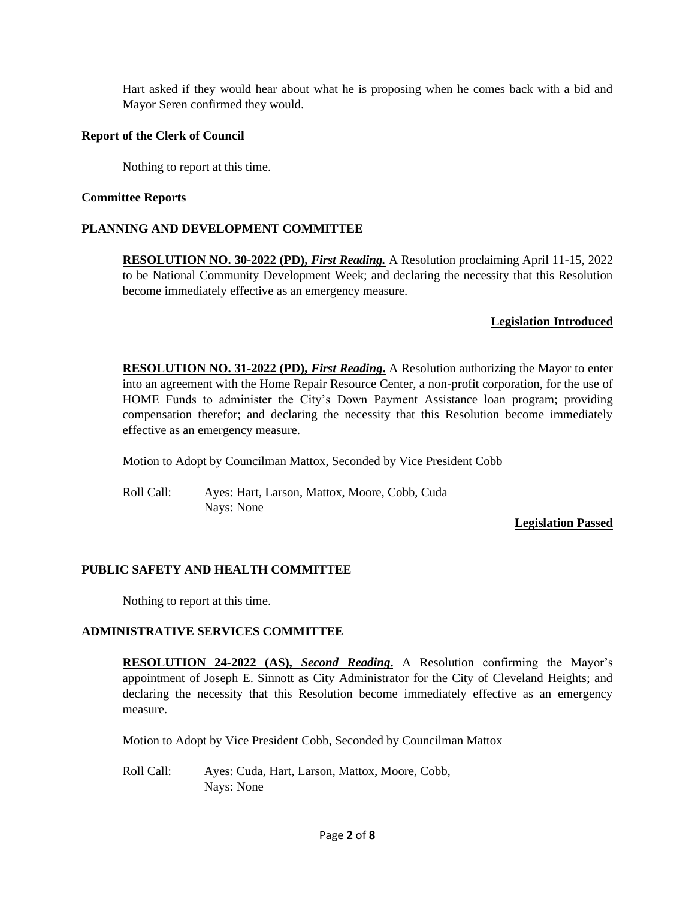Hart asked if they would hear about what he is proposing when he comes back with a bid and Mayor Seren confirmed they would.

### **Report of the Clerk of Council**

Nothing to report at this time.

### **Committee Reports**

### **PLANNING AND DEVELOPMENT COMMITTEE**

**RESOLUTION NO. 30-2022 (PD),** *First Reading.* A Resolution proclaiming April 11-15, 2022 to be National Community Development Week; and declaring the necessity that this Resolution become immediately effective as an emergency measure.

## **Legislation Introduced**

**RESOLUTION NO. 31-2022 (PD),** *First Reading*. A Resolution authorizing the Mayor to enter into an agreement with the Home Repair Resource Center, a non-profit corporation, for the use of HOME Funds to administer the City's Down Payment Assistance loan program; providing compensation therefor; and declaring the necessity that this Resolution become immediately effective as an emergency measure.

Motion to Adopt by Councilman Mattox, Seconded by Vice President Cobb

Roll Call: Ayes: Hart, Larson, Mattox, Moore, Cobb, Cuda Nays: None

### **Legislation Passed**

## **PUBLIC SAFETY AND HEALTH COMMITTEE**

Nothing to report at this time.

## **ADMINISTRATIVE SERVICES COMMITTEE**

**RESOLUTION 24-2022 (AS),** *Second Reading***.** A Resolution confirming the Mayor's appointment of Joseph E. Sinnott as City Administrator for the City of Cleveland Heights; and declaring the necessity that this Resolution become immediately effective as an emergency measure.

Motion to Adopt by Vice President Cobb, Seconded by Councilman Mattox

Roll Call: Ayes: Cuda, Hart, Larson, Mattox, Moore, Cobb, Nays: None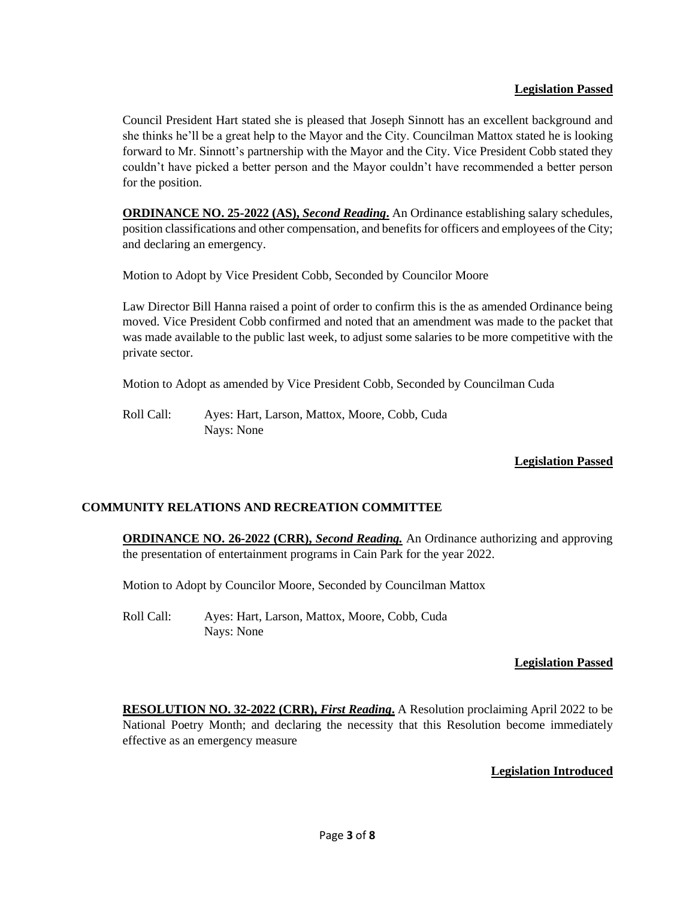Council President Hart stated she is pleased that Joseph Sinnott has an excellent background and she thinks he'll be a great help to the Mayor and the City. Councilman Mattox stated he is looking forward to Mr. Sinnott's partnership with the Mayor and the City. Vice President Cobb stated they couldn't have picked a better person and the Mayor couldn't have recommended a better person for the position.

**ORDINANCE NO. 25-2022 (AS),** *Second Reading***.** An Ordinance establishing salary schedules, position classifications and other compensation, and benefits for officers and employees of the City; and declaring an emergency.

Motion to Adopt by Vice President Cobb, Seconded by Councilor Moore

Law Director Bill Hanna raised a point of order to confirm this is the as amended Ordinance being moved. Vice President Cobb confirmed and noted that an amendment was made to the packet that was made available to the public last week, to adjust some salaries to be more competitive with the private sector.

Motion to Adopt as amended by Vice President Cobb, Seconded by Councilman Cuda

Roll Call: Ayes: Hart, Larson, Mattox, Moore, Cobb, Cuda Nays: None

# **Legislation Passed**

# **COMMUNITY RELATIONS AND RECREATION COMMITTEE**

**ORDINANCE NO. 26-2022 (CRR),** *Second Reading.* An Ordinance authorizing and approving the presentation of entertainment programs in Cain Park for the year 2022.

Motion to Adopt by Councilor Moore, Seconded by Councilman Mattox

Roll Call: Ayes: Hart, Larson, Mattox, Moore, Cobb, Cuda Nays: None

## **Legislation Passed**

**RESOLUTION NO. 32-2022 (CRR),** *First Reading***.** A Resolution proclaiming April 2022 to be National Poetry Month; and declaring the necessity that this Resolution become immediately effective as an emergency measure

# **Legislation Introduced**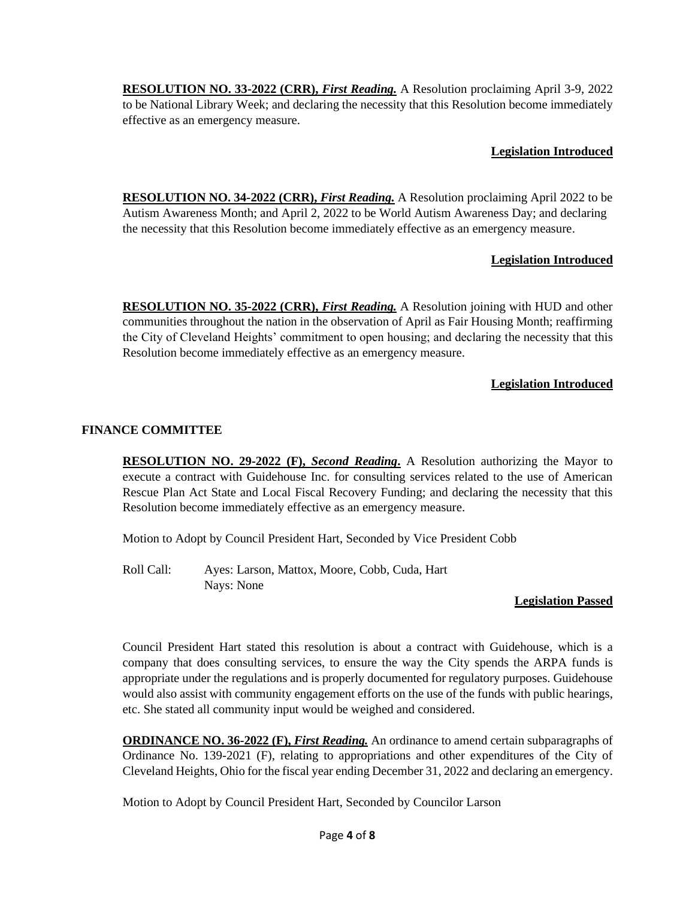**RESOLUTION NO. 33-2022 (CRR),** *First Reading.* A Resolution proclaiming April 3-9, 2022 to be National Library Week; and declaring the necessity that this Resolution become immediately effective as an emergency measure.

## **Legislation Introduced**

**RESOLUTION NO. 34-2022 (CRR),** *First Reading.* A Resolution proclaiming April 2022 to be Autism Awareness Month; and April 2, 2022 to be World Autism Awareness Day; and declaring the necessity that this Resolution become immediately effective as an emergency measure.

# **Legislation Introduced**

**RESOLUTION NO. 35-2022 (CRR),** *First Reading.* A Resolution joining with HUD and other communities throughout the nation in the observation of April as Fair Housing Month; reaffirming the City of Cleveland Heights' commitment to open housing; and declaring the necessity that this Resolution become immediately effective as an emergency measure.

## **Legislation Introduced**

## **FINANCE COMMITTEE**

**RESOLUTION NO. 29-2022 (F),** *Second Reading***.** A Resolution authorizing the Mayor to execute a contract with Guidehouse Inc. for consulting services related to the use of American Rescue Plan Act State and Local Fiscal Recovery Funding; and declaring the necessity that this Resolution become immediately effective as an emergency measure.

Motion to Adopt by Council President Hart, Seconded by Vice President Cobb

Roll Call: Ayes: Larson, Mattox, Moore, Cobb, Cuda, Hart Nays: None

### **Legislation Passed**

Council President Hart stated this resolution is about a contract with Guidehouse, which is a company that does consulting services, to ensure the way the City spends the ARPA funds is appropriate under the regulations and is properly documented for regulatory purposes. Guidehouse would also assist with community engagement efforts on the use of the funds with public hearings, etc. She stated all community input would be weighed and considered.

**ORDINANCE NO. 36-2022 (F),** *First Reading.* An ordinance to amend certain subparagraphs of Ordinance No. 139-2021 (F), relating to appropriations and other expenditures of the City of Cleveland Heights, Ohio for the fiscal year ending December 31, 2022 and declaring an emergency.

Motion to Adopt by Council President Hart, Seconded by Councilor Larson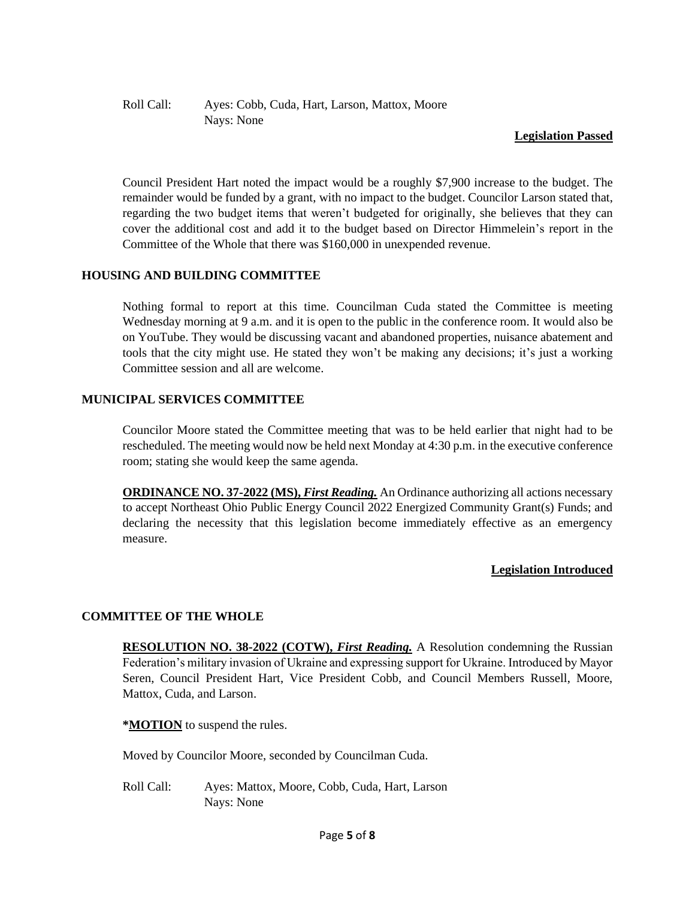## Roll Call: Ayes: Cobb, Cuda, Hart, Larson, Mattox, Moore Nays: None

### **Legislation Passed**

Council President Hart noted the impact would be a roughly \$7,900 increase to the budget. The remainder would be funded by a grant, with no impact to the budget. Councilor Larson stated that, regarding the two budget items that weren't budgeted for originally, she believes that they can cover the additional cost and add it to the budget based on Director Himmelein's report in the Committee of the Whole that there was \$160,000 in unexpended revenue.

## **HOUSING AND BUILDING COMMITTEE**

Nothing formal to report at this time. Councilman Cuda stated the Committee is meeting Wednesday morning at 9 a.m. and it is open to the public in the conference room. It would also be on YouTube. They would be discussing vacant and abandoned properties, nuisance abatement and tools that the city might use. He stated they won't be making any decisions; it's just a working Committee session and all are welcome.

## **MUNICIPAL SERVICES COMMITTEE**

Councilor Moore stated the Committee meeting that was to be held earlier that night had to be rescheduled. The meeting would now be held next Monday at 4:30 p.m. in the executive conference room; stating she would keep the same agenda.

**ORDINANCE NO. 37-2022 (MS),** *First Reading.* An Ordinance authorizing all actions necessary to accept Northeast Ohio Public Energy Council 2022 Energized Community Grant(s) Funds; and declaring the necessity that this legislation become immediately effective as an emergency measure.

### **Legislation Introduced**

## **COMMITTEE OF THE WHOLE**

**RESOLUTION NO. 38-2022 (COTW), First Reading.** A Resolution condemning the Russian Federation's military invasion of Ukraine and expressing support for Ukraine. Introduced by Mayor Seren, Council President Hart, Vice President Cobb, and Council Members Russell, Moore, Mattox, Cuda, and Larson.

**\*MOTION** to suspend the rules.

Moved by Councilor Moore, seconded by Councilman Cuda.

Roll Call: Ayes: Mattox, Moore, Cobb, Cuda, Hart, Larson Nays: None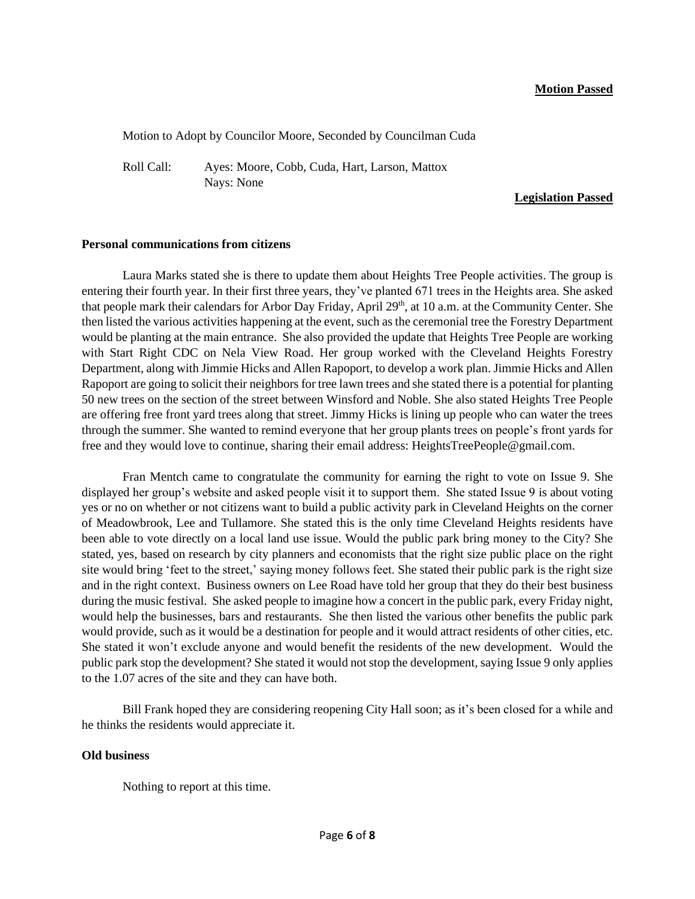#### **Motion Passed**

Motion to Adopt by Councilor Moore, Seconded by Councilman Cuda

Roll Call: Ayes: Moore, Cobb, Cuda, Hart, Larson, Mattox Nays: None

### **Legislation Passed**

#### **Personal communications from citizens**

Laura Marks stated she is there to update them about Heights Tree People activities. The group is entering their fourth year. In their first three years, they've planted 671 trees in the Heights area. She asked that people mark their calendars for Arbor Day Friday, April 29<sup>th</sup>, at 10 a.m. at the Community Center. She then listed the various activities happening at the event, such as the ceremonial tree the Forestry Department would be planting at the main entrance. She also provided the update that Heights Tree People are working with Start Right CDC on Nela View Road. Her group worked with the Cleveland Heights Forestry Department, along with Jimmie Hicks and Allen Rapoport, to develop a work plan. Jimmie Hicks and Allen Rapoport are going to solicit their neighbors for tree lawn trees and she stated there is a potential for planting 50 new trees on the section of the street between Winsford and Noble. She also stated Heights Tree People are offering free front yard trees along that street. Jimmy Hicks is lining up people who can water the trees through the summer. She wanted to remind everyone that her group plants trees on people's front yards for free and they would love to continue, sharing their email address: HeightsTreePeople@gmail.com.

Fran Mentch came to congratulate the community for earning the right to vote on Issue 9. She displayed her group's website and asked people visit it to support them. She stated Issue 9 is about voting yes or no on whether or not citizens want to build a public activity park in Cleveland Heights on the corner of Meadowbrook, Lee and Tullamore. She stated this is the only time Cleveland Heights residents have been able to vote directly on a local land use issue. Would the public park bring money to the City? She stated, yes, based on research by city planners and economists that the right size public place on the right site would bring 'feet to the street,' saying money follows feet. She stated their public park is the right size and in the right context. Business owners on Lee Road have told her group that they do their best business during the music festival. She asked people to imagine how a concert in the public park, every Friday night, would help the businesses, bars and restaurants. She then listed the various other benefits the public park would provide, such as it would be a destination for people and it would attract residents of other cities, etc. She stated it won't exclude anyone and would benefit the residents of the new development. Would the public park stop the development? She stated it would not stop the development, saying Issue 9 only applies to the 1.07 acres of the site and they can have both.

Bill Frank hoped they are considering reopening City Hall soon; as it's been closed for a while and he thinks the residents would appreciate it.

### **Old business**

Nothing to report at this time.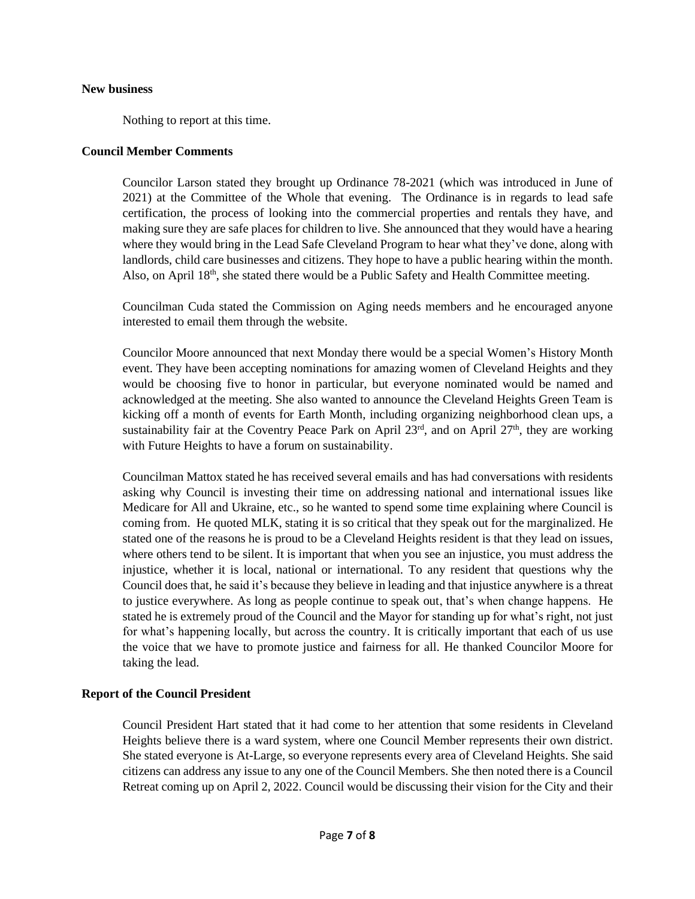#### **New business**

Nothing to report at this time.

### **Council Member Comments**

Councilor Larson stated they brought up Ordinance 78-2021 (which was introduced in June of 2021) at the Committee of the Whole that evening. The Ordinance is in regards to lead safe certification, the process of looking into the commercial properties and rentals they have, and making sure they are safe places for children to live. She announced that they would have a hearing where they would bring in the Lead Safe Cleveland Program to hear what they've done, along with landlords, child care businesses and citizens. They hope to have a public hearing within the month. Also, on April  $18<sup>th</sup>$ , she stated there would be a Public Safety and Health Committee meeting.

Councilman Cuda stated the Commission on Aging needs members and he encouraged anyone interested to email them through the website.

Councilor Moore announced that next Monday there would be a special Women's History Month event. They have been accepting nominations for amazing women of Cleveland Heights and they would be choosing five to honor in particular, but everyone nominated would be named and acknowledged at the meeting. She also wanted to announce the Cleveland Heights Green Team is kicking off a month of events for Earth Month, including organizing neighborhood clean ups, a sustainability fair at the Coventry Peace Park on April  $23<sup>rd</sup>$ , and on April  $27<sup>th</sup>$ , they are working with Future Heights to have a forum on sustainability.

Councilman Mattox stated he has received several emails and has had conversations with residents asking why Council is investing their time on addressing national and international issues like Medicare for All and Ukraine, etc., so he wanted to spend some time explaining where Council is coming from. He quoted MLK, stating it is so critical that they speak out for the marginalized. He stated one of the reasons he is proud to be a Cleveland Heights resident is that they lead on issues, where others tend to be silent. It is important that when you see an injustice, you must address the injustice, whether it is local, national or international. To any resident that questions why the Council does that, he said it's because they believe in leading and that injustice anywhere is a threat to justice everywhere. As long as people continue to speak out, that's when change happens. He stated he is extremely proud of the Council and the Mayor for standing up for what's right, not just for what's happening locally, but across the country. It is critically important that each of us use the voice that we have to promote justice and fairness for all. He thanked Councilor Moore for taking the lead.

### **Report of the Council President**

Council President Hart stated that it had come to her attention that some residents in Cleveland Heights believe there is a ward system, where one Council Member represents their own district. She stated everyone is At-Large, so everyone represents every area of Cleveland Heights. She said citizens can address any issue to any one of the Council Members. She then noted there is a Council Retreat coming up on April 2, 2022. Council would be discussing their vision for the City and their